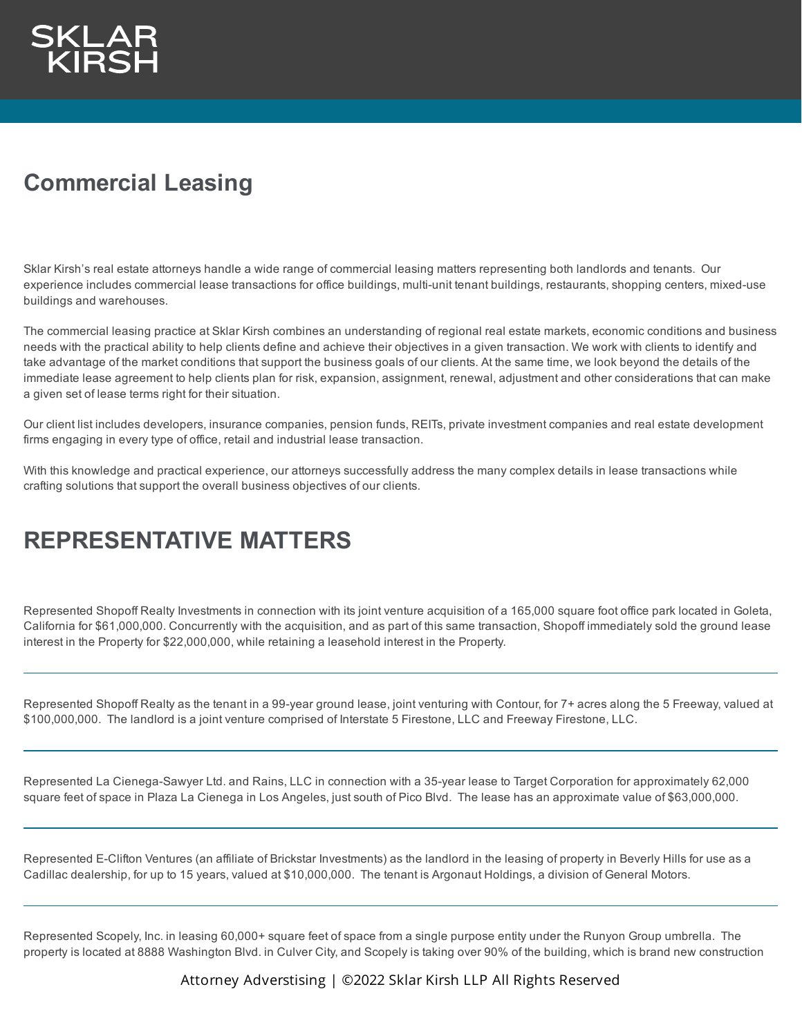

## **Commercial Leasing**

Sklar Kirsh's real estate attorneys handle a wide range of commercial leasing matters representing both landlords and tenants. Our experience includes commercial lease transactions for office buildings, multi-unit tenant buildings, restaurants, shopping centers, mixed-use buildings and warehouses.

The commercial leasing practice at Sklar Kirsh combines an understanding of regional real estate markets, economic conditions and business needs with the practical ability to help clients define and achieve their objectives in a given transaction. We work with clients to identify and take advantage of the market conditions that support the business goals of our clients. At the same time, we look beyond the details of the immediate lease agreement to help clients plan for risk, expansion, assignment, renewal, adjustment and other considerations that can make a given set of lease terms right for their situation.

Our client list includes developers, insurance companies, pension funds, REITs, private investment companies and real estate development firms engaging in every type of office, retail and industrial lease transaction.

With this knowledge and practical experience, our attorneys successfully address the many complex details in lease transactions while crafting solutions that support the overall business objectives of our clients.

## **REPRESENTATIVE MATTERS**

Represented Shopoff Realty Investments in connection with its joint venture acquisition of a 165,000 square foot office park located in Goleta, California for \$61,000,000. Concurrently with the acquisition, and as part of this same transaction, Shopoff immediately sold the ground lease interest in the Property for \$22,000,000, while retaining a leasehold interest in the Property.

Represented Shopoff Realty as the tenant in a 99-year ground lease, joint venturing with Contour, for 7+ acres along the 5 Freeway, valued at \$100,000,000. The landlord is a joint venture comprised of Interstate 5 Firestone, LLC and Freeway Firestone, LLC.

Represented La Cienega-Sawyer Ltd. and Rains, LLC in connection with a 35-year lease to Target Corporation for approximately 62,000 square feet of space in Plaza La Cienega in Los Angeles, just south of Pico Blvd. The lease has an approximate value of \$63,000,000.

Represented E-Clifton Ventures (an affiliate of Brickstar Investments) as the landlord in the leasing of property in Beverly Hills for use as a Cadillac dealership, for up to 15 years, valued at \$10,000,000. The tenant is Argonaut Holdings, a division of General Motors.

Represented Scopely, Inc. in leasing 60,000+ square feet of space from a single purpose entity under the Runyon Group umbrella. The property is located at 8888 Washington Blvd. in Culver City, and Scopely is taking over 90% of the building, which is brand new construction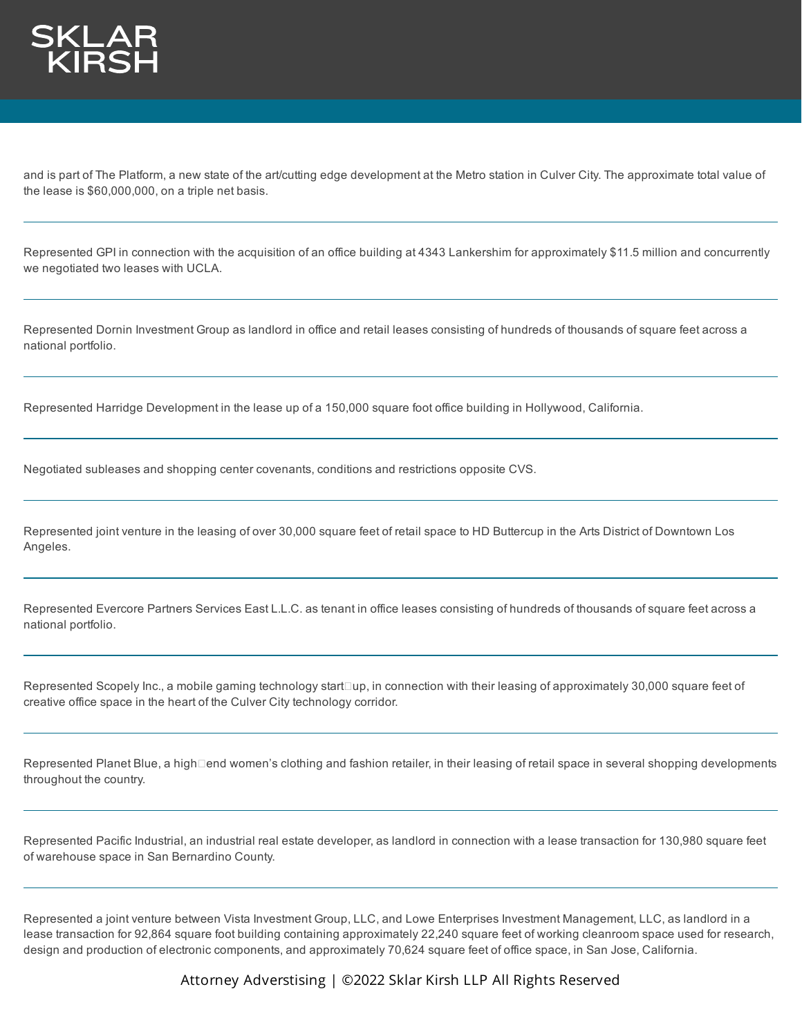

and is part of The Platform, a new state of the art/cutting edge development at the Metro station in Culver City. The approximate total value of the lease is \$60,000,000, on a triple net basis.

Represented GPI in connection with the acquisition of an office building at 4343 Lankershim for approximately \$11.5 million and concurrently we negotiated two leases with UCLA.

Represented Dornin Investment Group as landlord in office and retail leases consisting of hundreds of thousands of square feet across a national portfolio.

Represented Harridge Development in the lease up of a 150,000 square foot office building in Hollywood, California.

Negotiated subleases and shopping center covenants, conditions and restrictions opposite CVS.

Represented joint venture in the leasing of over 30,000 square feet of retail space to HD Buttercup in the Arts District of Downtown Los Angeles.

Represented Evercore Partners Services East L.L.C. as tenant in office leases consisting of hundreds of thousands of square feet across a national portfolio.

Represented Scopely Inc., a mobile gaming technology start⊡up, in connection with their leasing of approximately 30,000 square feet of creative office space in the heart of the Culver City technology corridor.

Represented Planet Blue, a high⊡end women's clothing and fashion retailer, in their leasing of retail space in several shopping developments throughout the country.

Represented Pacific Industrial, an industrial real estate developer, as landlord in connection with a lease transaction for 130,980 square feet of warehouse space in San Bernardino County.

Represented a joint venture between Vista Investment Group, LLC, and Lowe Enterprises Investment Management, LLC, as landlord in a lease transaction for 92,864 square foot building containing approximately 22,240 square feet of working cleanroom space used for research, design and production of electronic components, and approximately 70,624 square feet of office space, in San Jose, California.

Attorney Adverstising | ©2022 Sklar Kirsh LLP All Rights Reserved